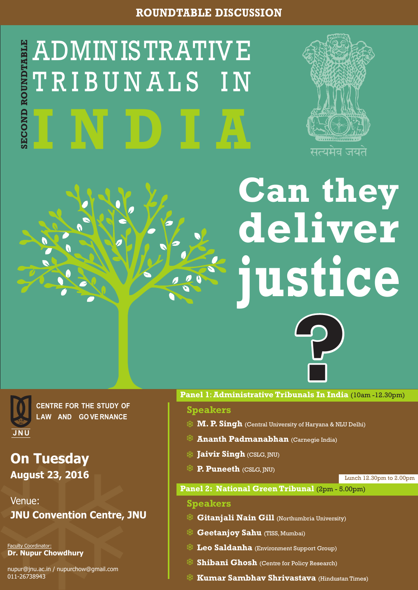# **ROUNDTABLE DISCUSSION**



**CENTRE FOR THE STUDY OF LAW AND GOVERNANCE**

**Can they deliver justice**



**On Tuesday August 23, 2016**

Venue: **JNU Convention Centre, JNU**

## **Speakers**

**Panel 1**:**Administrative Tribunals In India** (10am -12.30pm)

**Speakers**

**Gitanjali Nain Gill** (Northumbria University) 茶

**Geetanjoy Sahu** (TISS, Mumbai)

 $\frac{1}{2}$  Leo Saldanha (Environment Support Group)

**Shibani Ghosh** (Centre for Policy Research)





**Kumar Sambhav Shrivastava** (Hindustan Times)

- **M. P. Singh** (Central University of Haryana & NLU Delhi)
- **Ananth Padmanabhan** (Carnegie India)

### **Jaivir Singh** (CSLG, JNU)

**P. Puneeth** (CSLG, JNU)

Faculty Coordinator: **Dr. Nupur Chowdhury**

nupur@jnu.ac.in / nupurchow@gmail.com 011-26738943

Lunch 12.30pm to 2.00pm

**Panel 2: National Green Tribunal (2pm - 5.00pm)**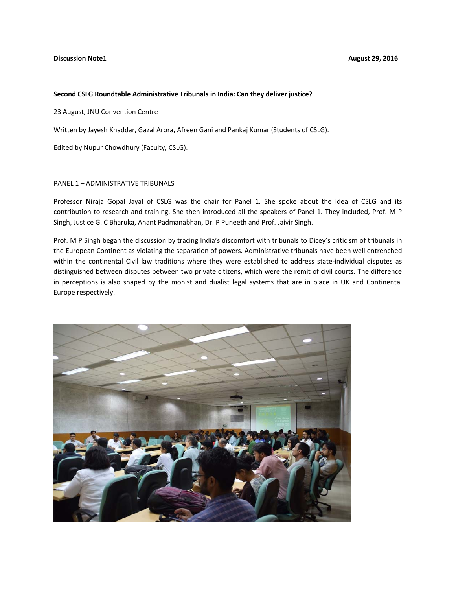#### **Discussion Note1 August 29, 2016**

#### **Second CSLG Roundtable Administrative Tribunals in India: Can they deliver justice?**

23 August, JNU Convention Centre

Written by Jayesh Khaddar, Gazal Arora, Afreen Gani and Pankaj Kumar (Students of CSLG).

Edited by Nupur Chowdhury (Faculty, CSLG).

#### PANEL 1 – ADMINISTRATIVE TRIBUNALS

Professor Niraja Gopal Jayal of CSLG was the chair for Panel 1. She spoke about the idea of CSLG and its contribution to research and training. She then introduced all the speakers of Panel 1. They included, Prof. M P Singh, Justice G. C Bharuka, Anant Padmanabhan, Dr. P Puneeth and Prof. Jaivir Singh.

Prof. M P Singh began the discussion by tracing India's discomfort with tribunals to Dicey's criticism of tribunals in the European Continent as violating the separation of powers. Administrative tribunals have been well entrenched within the continental Civil law traditions where they were established to address state-individual disputes as distinguished between disputes between two private citizens, which were the remit of civil courts. The difference in perceptions is also shaped by the monist and dualist legal systems that are in place in UK and Continental Europe respectively.

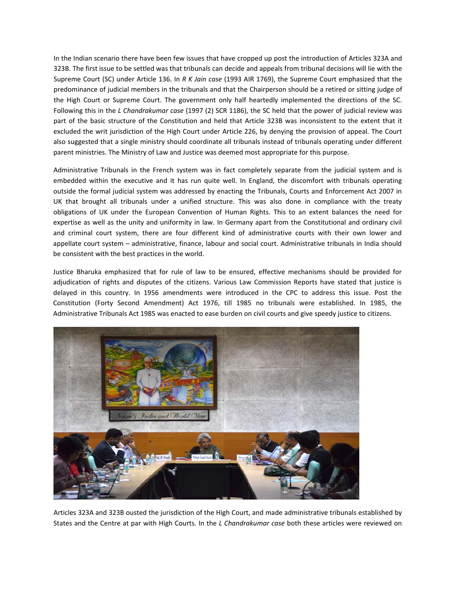In the Indian scenario there have been few issues that have cropped up post the introduction of Articles 323A and 323B. The first issue to be settled was that tribunals can decide and appeals from tribunal decisions will lie with the Supreme Court (SC) under Article 136. In *R K Jain case* (1993 AIR 1769), the Supreme Court emphasized that the predominance of judicial members in the tribunals and that the Chairperson should be a retired or sitting judge of the High Court or Supreme Court. The government only half heartedly implemented the directions of the SC. Following this in the *L Chandrakumar case* (1997 (2) SCR 1186), the SC held that the power of judicial review was part of the basic structure of the Constitution and held that Article 323B was inconsistent to the extent that it excluded the writ jurisdiction of the High Court under Article 226, by denying the provision of appeal. The Court also suggested that a single ministry should coordinate all tribunals instead of tribunals operating under different parent ministries. The Ministry of Law and Justice was deemed most appropriate for this purpose.

Administrative Tribunals in the French system was in fact completely separate from the judicial system and is embedded within the executive and it has run quite well. In England, the discomfort with tribunals operating outside the formal judicial system was addressed by enacting the Tribunals, Courts and Enforcement Act 2007 in UK that brought all tribunals under a unified structure. This was also done in compliance with the treaty obligations of UK under the European Convention of Human Rights. This to an extent balances the need for expertise as well as the unity and uniformity in law. In Germany apart from the Constitutional and ordinary civil and criminal court system, there are four different kind of administrative courts with their own lower and appellate court system – administrative, finance, labour and social court. Administrative tribunals in India should be consistent with the best practices in the world.

Justice Bharuka emphasized that for rule of law to be ensured, effective mechanisms should be provided for adjudication of rights and disputes of the citizens. Various Law Commission Reports have stated that justice is delayed in this country. In 1956 amendments were introduced in the CPC to address this issue. Post the Constitution (Forty Second Amendment) Act 1976, till 1985 no tribunals were established. In 1985, the Administrative Tribunals Act 1985 was enacted to ease burden on civil courts and give speedy justice to citizens.



Articles 323A and 323B ousted the jurisdiction of the High Court, and made administrative tribunals established by States and the Centre at par with High Courts. In the *L Chandrakumar case* both these articles were reviewed on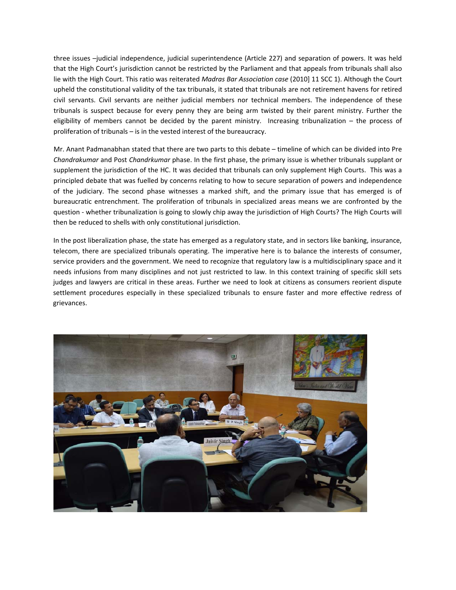three issues –judicial independence, judicial superintendence (Article 227) and separation of powers. It was held that the High Court's jurisdiction cannot be restricted by the Parliament and that appeals from tribunals shall also lie with the High Court. This ratio was reiterated *Madras Bar Association case* (2010] 11 SCC 1). Although the Court upheld the constitutional validity of the tax tribunals, it stated that tribunals are not retirement havens for retired civil servants. Civil servants are neither judicial members nor technical members. The independence of these tribunals is suspect because for every penny they are being arm twisted by their parent ministry. Further the eligibility of members cannot be decided by the parent ministry. Increasing tribunalization – the process of proliferation of tribunals – is in the vested interest of the bureaucracy.

Mr. Anant Padmanabhan stated that there are two parts to this debate – timeline of which can be divided into Pre *Chandrakumar* and Post *Chandrkumar* phase. In the first phase, the primary issue is whether tribunals supplant or supplement the jurisdiction of the HC. It was decided that tribunals can only supplement High Courts. This was a principled debate that was fuelled by concerns relating to how to secure separation of powers and independence of the judiciary. The second phase witnesses a marked shift, and the primary issue that has emerged is of bureaucratic entrenchment. The proliferation of tribunals in specialized areas means we are confronted by the question ‐ whether tribunalization is going to slowly chip away the jurisdiction of High Courts? The High Courts will then be reduced to shells with only constitutional jurisdiction.

In the post liberalization phase, the state has emerged as a regulatory state, and in sectors like banking, insurance, telecom, there are specialized tribunals operating. The imperative here is to balance the interests of consumer, service providers and the government. We need to recognize that regulatory law is a multidisciplinary space and it needs infusions from many disciplines and not just restricted to law. In this context training of specific skill sets judges and lawyers are critical in these areas. Further we need to look at citizens as consumers reorient dispute settlement procedures especially in these specialized tribunals to ensure faster and more effective redress of grievances.

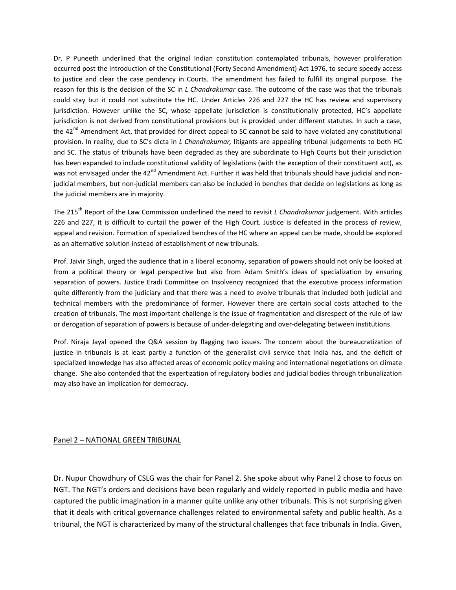Dr. P Puneeth underlined that the original Indian constitution contemplated tribunals, however proliferation occurred post the introduction of the Constitutional (Forty Second Amendment) Act 1976, to secure speedy access to justice and clear the case pendency in Courts. The amendment has failed to fulfill its original purpose. The reason for this is the decision of the SC in *L Chandrakumar* case. The outcome of the case was that the tribunals could stay but it could not substitute the HC. Under Articles 226 and 227 the HC has review and supervisory jurisdiction. However unlike the SC, whose appellate jurisdiction is constitutionally protected, HC's appellate jurisdiction is not derived from constitutional provisions but is provided under different statutes. In such a case, the  $42<sup>nd</sup>$  Amendment Act, that provided for direct appeal to SC cannot be said to have violated any constitutional provision. In reality, due to SC's dicta in *L Chandrakumar,* litigants are appealing tribunal judgements to both HC and SC. The status of tribunals have been degraded as they are subordinate to High Courts but their jurisdiction has been expanded to include constitutional validity of legislations (with the exception of their constituent act), as was not envisaged under the 42<sup>nd</sup> Amendment Act. Further it was held that tribunals should have judicial and nonjudicial members, but non-judicial members can also be included in benches that decide on legislations as long as the judicial members are in majority.

The 215th Report of the Law Commission underlined the need to revisit *L Chandrakumar* judgement. With articles 226 and 227, it is difficult to curtail the power of the High Court. Justice is defeated in the process of review, appeal and revision. Formation of specialized benches of the HC where an appeal can be made, should be explored as an alternative solution instead of establishment of new tribunals.

Prof. Jaivir Singh, urged the audience that in a liberal economy, separation of powers should not only be looked at from a political theory or legal perspective but also from Adam Smith's ideas of specialization by ensuring separation of powers. Justice Eradi Committee on Insolvency recognized that the executive process information quite differently from the judiciary and that there was a need to evolve tribunals that included both judicial and technical members with the predominance of former. However there are certain social costs attached to the creation of tribunals. The most important challenge is the issue of fragmentation and disrespect of the rule of law or derogation of separation of powers is because of under‐delegating and over‐delegating between institutions.

Prof. Niraja Jayal opened the Q&A session by flagging two issues. The concern about the bureaucratization of justice in tribunals is at least partly a function of the generalist civil service that India has, and the deficit of specialized knowledge has also affected areas of economic policy making and international negotiations on climate change. She also contended that the expertization of regulatory bodies and judicial bodies through tribunalization may also have an implication for democracy.

#### Panel 2 – NATIONAL GREEN TRIBUNAL

Dr. Nupur Chowdhury of CSLG was the chair for Panel 2. She spoke about why Panel 2 chose to focus on NGT. The NGT's orders and decisions have been regularly and widely reported in public media and have captured the public imagination in a manner quite unlike any other tribunals. This is not surprising given that it deals with critical governance challenges related to environmental safety and public health. As a tribunal, the NGT is characterized by many of the structural challenges that face tribunals in India. Given,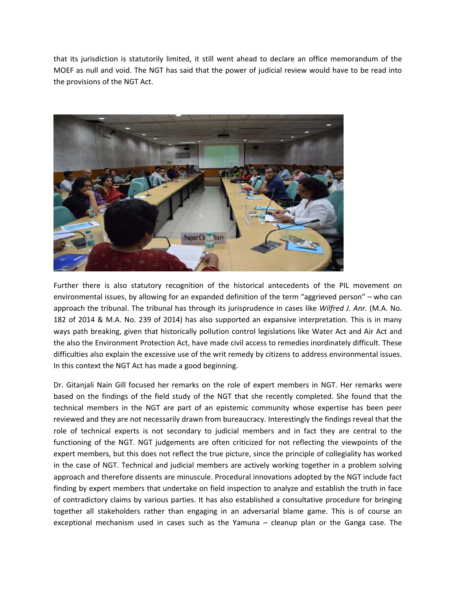that its jurisdiction is statutorily limited, it still went ahead to declare an office memorandum of the MOEF as null and void. The NGT has said that the power of judicial review would have to be read into the provisions of the NGT Act.



Further there is also statutory recognition of the historical antecedents of the PIL movement on environmental issues, by allowing for an expanded definition of the term "aggrieved person" – who can approach the tribunal. The tribunal has through its jurisprudence in cases like *Wilfred J. Anr.* (M.A. No. 182 of 2014 & M.A. No. 239 of 2014) has also supported an expansive interpretation. This is in many ways path breaking, given that historically pollution control legislations like Water Act and Air Act and the also the Environment Protection Act, have made civil access to remedies inordinately difficult. These difficulties also explain the excessive use of the writ remedy by citizens to address environmental issues. In this context the NGT Act has made a good beginning.

Dr. Gitanjali Nain Gill focused her remarks on the role of expert members in NGT. Her remarks were based on the findings of the field study of the NGT that she recently completed. She found that the technical members in the NGT are part of an epistemic community whose expertise has been peer reviewed and they are not necessarily drawn from bureaucracy. Interestingly the findings reveal that the role of technical experts is not secondary to judicial members and in fact they are central to the functioning of the NGT. NGT judgements are often criticized for not reflecting the viewpoints of the expert members, but this does not reflect the true picture, since the principle of collegiality has worked in the case of NGT. Technical and judicial members are actively working together in a problem solving approach and therefore dissents are minuscule. Procedural innovations adopted by the NGT include fact finding by expert members that undertake on field inspection to analyze and establish the truth in face of contradictory claims by various parties. It has also established a consultative procedure for bringing together all stakeholders rather than engaging in an adversarial blame game. This is of course an exceptional mechanism used in cases such as the Yamuna – cleanup plan or the Ganga case. The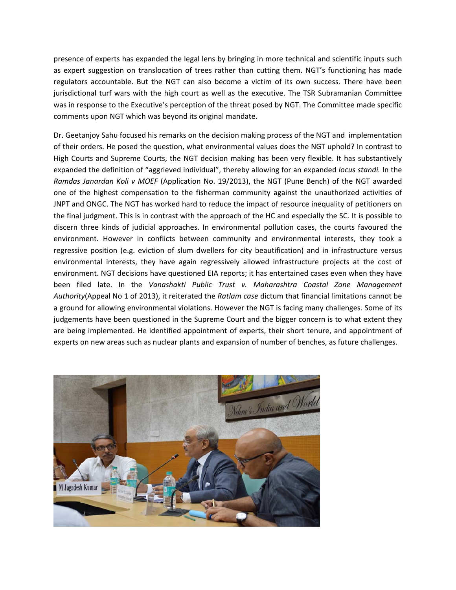presence of experts has expanded the legal lens by bringing in more technical and scientific inputs such as expert suggestion on translocation of trees rather than cutting them. NGT's functioning has made regulators accountable. But the NGT can also become a victim of its own success. There have been jurisdictional turf wars with the high court as well as the executive. The TSR Subramanian Committee was in response to the Executive's perception of the threat posed by NGT. The Committee made specific comments upon NGT which was beyond its original mandate.

Dr. Geetanjoy Sahu focused his remarks on the decision making process of the NGT and implementation of their orders. He posed the question, what environmental values does the NGT uphold? In contrast to High Courts and Supreme Courts, the NGT decision making has been very flexible. It has substantively expanded the definition of "aggrieved individual", thereby allowing for an expanded *locus standi.* In the *Ramdas Janardan Koli v MOEF* (Application No. 19/2013), the NGT (Pune Bench) of the NGT awarded one of the highest compensation to the fisherman community against the unauthorized activities of JNPT and ONGC. The NGT has worked hard to reduce the impact of resource inequality of petitioners on the final judgment. This is in contrast with the approach of the HC and especially the SC. It is possible to discern three kinds of judicial approaches. In environmental pollution cases, the courts favoured the environment. However in conflicts between community and environmental interests, they took a regressive position (e.g. eviction of slum dwellers for city beautification) and in infrastructure versus environmental interests, they have again regressively allowed infrastructure projects at the cost of environment. NGT decisions have questioned EIA reports; it has entertained cases even when they have been filed late. In the *Vanashakti Public Trust v. Maharashtra Coastal Zone Management Authority*(Appeal No 1 of 2013), it reiterated the *Ratlam case* dictum that financial limitations cannot be a ground for allowing environmental violations. However the NGT is facing many challenges. Some of its judgements have been questioned in the Supreme Court and the bigger concern is to what extent they are being implemented. He identified appointment of experts, their short tenure, and appointment of experts on new areas such as nuclear plants and expansion of number of benches, as future challenges.

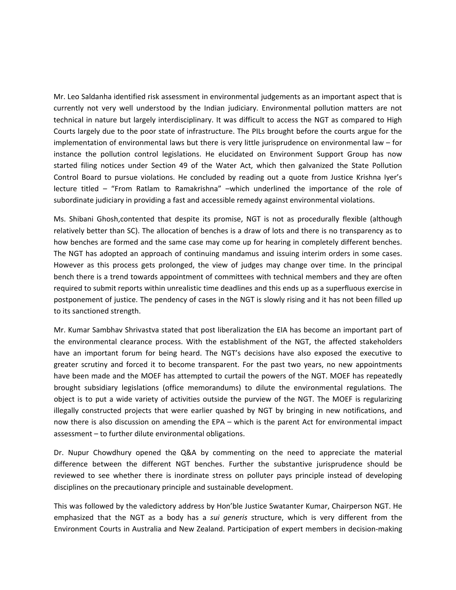Mr. Leo Saldanha identified risk assessment in environmental judgements as an important aspect that is currently not very well understood by the Indian judiciary. Environmental pollution matters are not technical in nature but largely interdisciplinary. It was difficult to access the NGT as compared to High Courts largely due to the poor state of infrastructure. The PILs brought before the courts argue for the implementation of environmental laws but there is very little jurisprudence on environmental law – for instance the pollution control legislations. He elucidated on Environment Support Group has now started filing notices under Section 49 of the Water Act, which then galvanized the State Pollution Control Board to pursue violations. He concluded by reading out a quote from Justice Krishna Iyer's lecture titled – "From Ratlam to Ramakrishna" –which underlined the importance of the role of subordinate judiciary in providing a fast and accessible remedy against environmental violations.

Ms. Shibani Ghosh,contented that despite its promise, NGT is not as procedurally flexible (although relatively better than SC). The allocation of benches is a draw of lots and there is no transparency as to how benches are formed and the same case may come up for hearing in completely different benches. The NGT has adopted an approach of continuing mandamus and issuing interim orders in some cases. However as this process gets prolonged, the view of judges may change over time. In the principal bench there is a trend towards appointment of committees with technical members and they are often required to submit reports within unrealistic time deadlines and this ends up as a superfluous exercise in postponement of justice. The pendency of cases in the NGT is slowly rising and it has not been filled up to its sanctioned strength.

Mr. Kumar Sambhav Shrivastva stated that post liberalization the EIA has become an important part of the environmental clearance process. With the establishment of the NGT, the affected stakeholders have an important forum for being heard. The NGT's decisions have also exposed the executive to greater scrutiny and forced it to become transparent. For the past two years, no new appointments have been made and the MOEF has attempted to curtail the powers of the NGT. MOEF has repeatedly brought subsidiary legislations (office memorandums) to dilute the environmental regulations. The object is to put a wide variety of activities outside the purview of the NGT. The MOEF is regularizing illegally constructed projects that were earlier quashed by NGT by bringing in new notifications, and now there is also discussion on amending the EPA – which is the parent Act for environmental impact assessment – to further dilute environmental obligations.

Dr. Nupur Chowdhury opened the Q&A by commenting on the need to appreciate the material difference between the different NGT benches. Further the substantive jurisprudence should be reviewed to see whether there is inordinate stress on polluter pays principle instead of developing disciplines on the precautionary principle and sustainable development.

This was followed by the valedictory address by Hon'ble Justice Swatanter Kumar, Chairperson NGT. He emphasized that the NGT as a body has a *sui generis* structure, which is very different from the Environment Courts in Australia and New Zealand. Participation of expert members in decision‐making